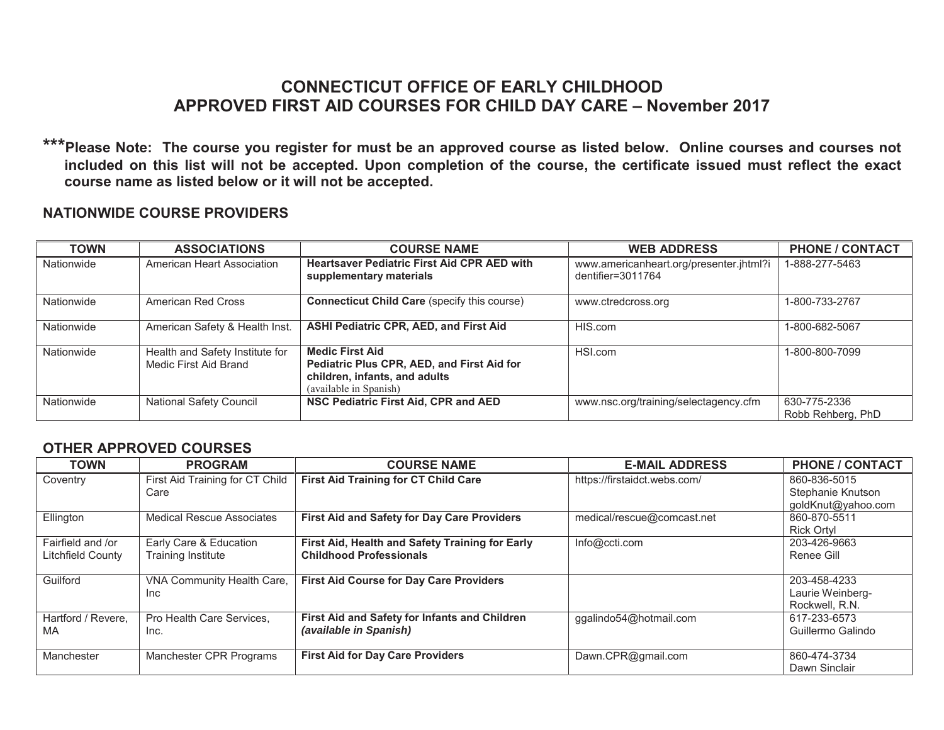## **CONNECTICUT OFFICE OF EARLY CHILDHOOD APPROVED FIRST AID COURSES FOR CHILD DAY CARE – November 2017**

**\*\*\*Please Note: The course you register for must be an approved course as listed below. Online courses and courses not included on this list will not be accepted. Upon completion of the course, the certificate issued must reflect the exact course name as listed below or it will not be accepted.** 

## **NATIONWIDE COURSE PROVIDERS**

| <b>TOWN</b> | <b>ASSOCIATIONS</b>                                      | <b>COURSE NAME</b>                                                                                                              | <b>WEB ADDRESS</b>                                           | PHONE / CONTACT                   |
|-------------|----------------------------------------------------------|---------------------------------------------------------------------------------------------------------------------------------|--------------------------------------------------------------|-----------------------------------|
| Nationwide  | American Heart Association                               | <b>Heartsaver Pediatric First Aid CPR AED with</b><br>supplementary materials                                                   | www.americanheart.org/presenter.jhtml?i<br>dentifier=3011764 | 1-888-277-5463                    |
| Nationwide  | American Red Cross                                       | <b>Connecticut Child Care (specify this course)</b>                                                                             | www.ctredcross.org                                           | 1-800-733-2767                    |
| Nationwide  | American Safety & Health Inst.                           | <b>ASHI Pediatric CPR, AED, and First Aid</b>                                                                                   | HIS.com                                                      | 1-800-682-5067                    |
| Nationwide  | Health and Safety Institute for<br>Medic First Aid Brand | <b>Medic First Aid</b><br>Pediatric Plus CPR, AED, and First Aid for<br>children, infants, and adults<br>(available in Spanish) | HSI.com                                                      | 1-800-800-7099                    |
| Nationwide  | <b>National Safety Council</b>                           | NSC Pediatric First Aid, CPR and AED                                                                                            | www.nsc.org/training/selectagency.cfm                        | 630-775-2336<br>Robb Rehberg, PhD |

## **OTHER APPROVED COURSES**

| <b>TOWN</b>                            | <b>PROGRAM</b>                               | <b>COURSE NAME</b>                                                                | <b>E-MAIL ADDRESS</b>        | <b>PHONE / CONTACT</b>                             |
|----------------------------------------|----------------------------------------------|-----------------------------------------------------------------------------------|------------------------------|----------------------------------------------------|
| Coventry                               | First Aid Training for CT Child<br>Care      | <b>First Aid Training for CT Child Care</b>                                       | https://firstaidct.webs.com/ | 860-836-5015<br>Stephanie Knutson                  |
|                                        |                                              |                                                                                   |                              | goldKnut@yahoo.com                                 |
| Ellington                              | <b>Medical Rescue Associates</b>             | <b>First Aid and Safety for Day Care Providers</b>                                | medical/rescue@comcast.net   | 860-870-5511<br><b>Rick Ortyl</b>                  |
| Fairfield and /or<br>Litchfield County | Early Care & Education<br>Training Institute | First Aid, Health and Safety Training for Early<br><b>Childhood Professionals</b> | Info@ccti.com                | 203-426-9663<br>Renee Gill                         |
| Guilford                               | VNA Community Health Care,<br>Inc.           | <b>First Aid Course for Day Care Providers</b>                                    |                              | 203-458-4233<br>Laurie Weinberg-<br>Rockwell, R.N. |
| Hartford / Revere.<br>MA               | Pro Health Care Services.<br>Inc.            | First Aid and Safety for Infants and Children<br>(available in Spanish)           | ggalindo54@hotmail.com       | 617-233-6573<br>Guillermo Galindo                  |
| Manchester                             | Manchester CPR Programs                      | <b>First Aid for Day Care Providers</b>                                           | Dawn.CPR@gmail.com           | 860-474-3734<br>Dawn Sinclair                      |